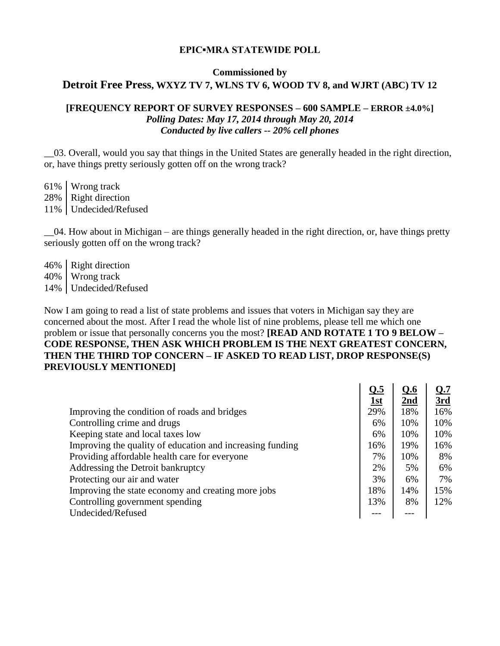#### **EPIC▪MRA STATEWIDE POLL**

#### **Commissioned by**

### **Detroit Free Press, WXYZ TV 7, WLNS TV 6, WOOD TV 8, and WJRT (ABC) TV 12**

### **[FREQUENCY REPORT OF SURVEY RESPONSES – 600 SAMPLE – ERROR ±4.0%]** *Polling Dates: May 17, 2014 through May 20, 2014 Conducted by live callers -- 20% cell phones*

\_\_03. Overall, would you say that things in the United States are generally headed in the right direction, or, have things pretty seriously gotten off on the wrong track?

61% Wrong track 28% | Right direction 11% Undecided/Refused

\_\_04. How about in Michigan – are things generally headed in the right direction, or, have things pretty seriously gotten off on the wrong track?

46% Right direction 40% Wrong track 14% Undecided/Refused

Now I am going to read a list of state problems and issues that voters in Michigan say they are concerned about the most. After I read the whole list of nine problems, please tell me which one problem or issue that personally concerns you the most? **[READ AND ROTATE 1 TO 9 BELOW – CODE RESPONSE, THEN ASK WHICH PROBLEM IS THE NEXT GREATEST CONCERN, THEN THE THIRD TOP CONCERN – IF ASKED TO READ LIST, DROP RESPONSE(S) PREVIOUSLY MENTIONED]**

|                                                           | Q.5        | Q.6             | <u>Q.7</u> |
|-----------------------------------------------------------|------------|-----------------|------------|
|                                                           | <u>1st</u> | 2 <sub>nd</sub> | 3rd        |
| Improving the condition of roads and bridges              | 29%        | 18%             | 16%        |
| Controlling crime and drugs                               | 6%         | 10%             | 10%        |
| Keeping state and local taxes low                         | 6%         | 10%             | 10%        |
| Improving the quality of education and increasing funding | 16%        | 19%             | 16%        |
| Providing affordable health care for everyone             | 7%         | 10%             | 8%         |
| Addressing the Detroit bankruptcy                         | 2%         | 5%              | 6%         |
| Protecting our air and water                              | 3%         | 6%              | 7%         |
| Improving the state economy and creating more jobs        | 18%        | 14%             | 15%        |
| Controlling government spending                           | 13%        | 8%              | 12%        |
| Undecided/Refused                                         |            |                 |            |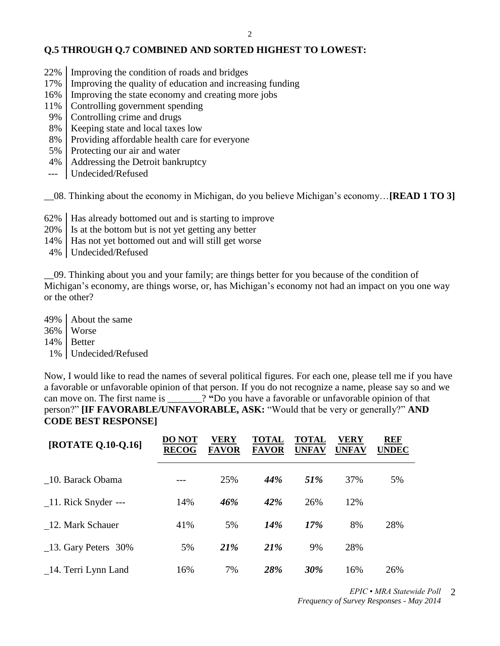## **Q.5 THROUGH Q.7 COMBINED AND SORTED HIGHEST TO LOWEST:**

- 22% Improving the condition of roads and bridges
- 17% Improving the quality of education and increasing funding
- 16% Improving the state economy and creating more jobs
- 11% Controlling government spending
- 9% Controlling crime and drugs
- 8% | Keeping state and local taxes low
- 8% Providing affordable health care for everyone
- 5% Protecting our air and water
- 4% Addressing the Detroit bankruptcy
- --- Undecided/Refused

\_\_08. Thinking about the economy in Michigan, do you believe Michigan's economy…**[READ 1 TO 3]**

- 62% Has already bottomed out and is starting to improve
- 20% Is at the bottom but is not yet getting any better
- 14% Has not yet bottomed out and will still get worse
- 4% Undecided/Refused

\_\_09. Thinking about you and your family; are things better for you because of the condition of Michigan's economy, are things worse, or, has Michigan's economy not had an impact on you one way or the other?

49% About the same 36% Worse 14% Better 1% Undecided/Refused

Now, I would like to read the names of several political figures. For each one, please tell me if you have a favorable or unfavorable opinion of that person. If you do not recognize a name, please say so and we can move on. The first name is \_\_\_\_\_\_\_? **"**Do you have a favorable or unfavorable opinion of that person?" **[IF FAVORABLE/UNFAVORABLE, ASK:** "Would that be very or generally?" **AND CODE BEST RESPONSE]**

| [ROTATE Q.10-Q.16]       | DO NOT<br><b>RECOG</b> | VERY<br><b>FAVOR</b> | <b>TOTAL</b><br><b>FAVOR</b> | TOTAL<br><b>UNFAV</b> | VERY<br><b>UNFAV</b> | <b>REF</b><br><b>UNDEC</b> |
|--------------------------|------------------------|----------------------|------------------------------|-----------------------|----------------------|----------------------------|
| 10. Barack Obama         |                        | 25%                  | 44%                          | 51%                   | 37%                  | 5%                         |
| 11. Rick Snyder ---      | 14%                    | 46%                  | 42%                          | 26%                   | 12%                  |                            |
| 12. Mark Schauer         | 41%                    | 5%                   | 14%                          | 17%                   | 8%                   | 28%                        |
| $\_13$ . Gary Peters 30% | 5%                     | 21%                  | 21%                          | 9%                    | 28%                  |                            |
| 14. Terri Lynn Land      | 16%                    | 7%                   | 28%                          | 30%                   | 16%                  | 26%                        |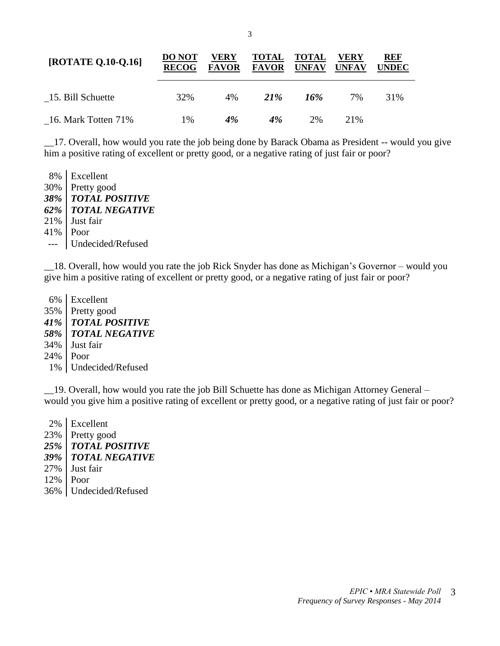| [ROTATE Q.10-Q.16]  | <b>DO NOT</b><br><b>RECOG</b> | VERY<br><b>FAVOR</b> | <b>TOTAL</b><br><b>FAVOR</b> | TOTAL<br><b>UNFAV</b> | VERY<br><b>UNFAV</b> | <b>REF</b><br>UNDEC |
|---------------------|-------------------------------|----------------------|------------------------------|-----------------------|----------------------|---------------------|
| 15. Bill Schuette   | 32%                           | 4%                   | 21 <sup>%</sup>              | 16%                   | 7%                   | 31%                 |
| 16. Mark Totten 71% | 1%                            | 4%                   | 4%                           | 2%                    | 21\%                 |                     |

\_\_17. Overall, how would you rate the job being done by Barack Obama as President -- would you give him a positive rating of excellent or pretty good, or a negative rating of just fair or poor?

 8% Excellent 30% Pretty good *38% TOTAL POSITIVE 62% TOTAL NEGATIVE* 21% Just fair 41% Poor --- Undecided/Refused

\_\_18. Overall, how would you rate the job Rick Snyder has done as Michigan's Governor – would you give him a positive rating of excellent or pretty good, or a negative rating of just fair or poor?

 6% Excellent 35% Pretty good *41% TOTAL POSITIVE 58% TOTAL NEGATIVE* 34% Just fair 24% Poor 1% Undecided/Refused

\_\_19. Overall, how would you rate the job Bill Schuette has done as Michigan Attorney General – would you give him a positive rating of excellent or pretty good, or a negative rating of just fair or poor?

 2% Excellent 23% Pretty good *25% TOTAL POSITIVE 39% TOTAL NEGATIVE* 27% Just fair 12% Poor 36% Undecided/Refused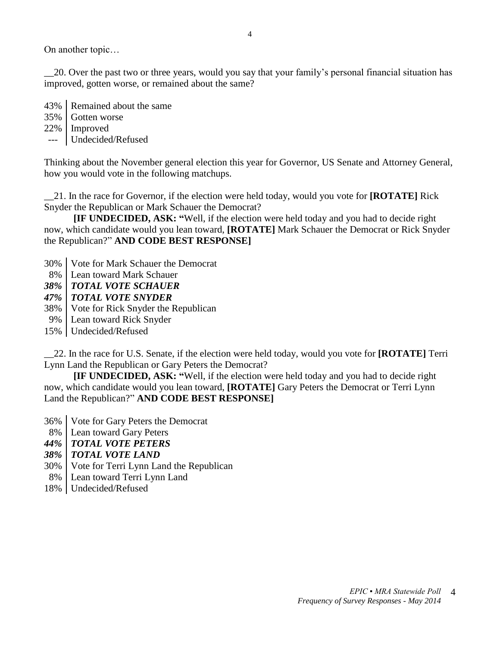On another topic…

\_\_20. Over the past two or three years, would you say that your family's personal financial situation has improved, gotten worse, or remained about the same?

43% Remained about the same 35% Gotten worse

22% Improved

--- Undecided/Refused

Thinking about the November general election this year for Governor, US Senate and Attorney General, how you would vote in the following matchups.

\_\_21. In the race for Governor, if the election were held today, would you vote for **[ROTATE]** Rick Snyder the Republican or Mark Schauer the Democrat?

**[IF UNDECIDED, ASK: "**Well, if the election were held today and you had to decide right now, which candidate would you lean toward, **[ROTATE]** Mark Schauer the Democrat or Rick Snyder the Republican?" **AND CODE BEST RESPONSE]**

- 30% Vote for Mark Schauer the Democrat
- 8% Lean toward Mark Schauer
- *38% TOTAL VOTE SCHAUER*
- *47% TOTAL VOTE SNYDER*
- 38% Vote for Rick Snyder the Republican
- 9% Lean toward Rick Snyder
- 15% Undecided/Refused

\_\_22. In the race for U.S. Senate, if the election were held today, would you vote for **[ROTATE]** Terri Lynn Land the Republican or Gary Peters the Democrat?

**[IF UNDECIDED, ASK: "**Well, if the election were held today and you had to decide right now, which candidate would you lean toward, **[ROTATE]** Gary Peters the Democrat or Terri Lynn Land the Republican?" **AND CODE BEST RESPONSE]**

- 36% Vote for Gary Peters the Democrat
- 8% Lean toward Gary Peters
- *44% TOTAL VOTE PETERS*
- *38% TOTAL VOTE LAND*
- 30% Vote for Terri Lynn Land the Republican
- 8% Lean toward Terri Lynn Land
- 18% Undecided/Refused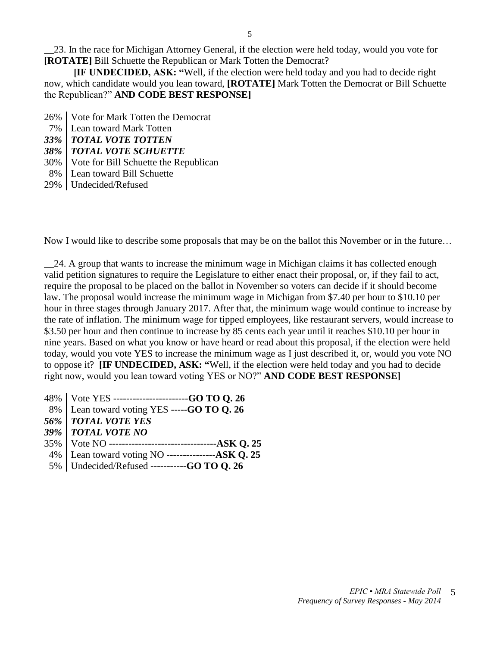\_\_23. In the race for Michigan Attorney General, if the election were held today, would you vote for **[ROTATE]** Bill Schuette the Republican or Mark Totten the Democrat?

**[IF UNDECIDED, ASK: "**Well, if the election were held today and you had to decide right now, which candidate would you lean toward, **[ROTATE]** Mark Totten the Democrat or Bill Schuette the Republican?" **AND CODE BEST RESPONSE]**

- 26% Vote for Mark Totten the Democrat
- 7% Lean toward Mark Totten
- *33% TOTAL VOTE TOTTEN*
- *38% TOTAL VOTE SCHUETTE*
- 30% Vote for Bill Schuette the Republican
- 8% Lean toward Bill Schuette
- 29% Undecided/Refused

Now I would like to describe some proposals that may be on the ballot this November or in the future…

\_\_24. A group that wants to increase the minimum wage in Michigan claims it has collected enough valid petition signatures to require the Legislature to either enact their proposal, or, if they fail to act, require the proposal to be placed on the ballot in November so voters can decide if it should become law. The proposal would increase the minimum wage in Michigan from \$7.40 per hour to \$10.10 per hour in three stages through January 2017. After that, the minimum wage would continue to increase by the rate of inflation. The minimum wage for tipped employees, like restaurant servers, would increase to \$3.50 per hour and then continue to increase by 85 cents each year until it reaches \$10.10 per hour in nine years. Based on what you know or have heard or read about this proposal, if the election were held today, would you vote YES to increase the minimum wage as I just described it, or, would you vote NO to oppose it? **[IF UNDECIDED, ASK: "**Well, if the election were held today and you had to decide right now, would you lean toward voting YES or NO?" **AND CODE BEST RESPONSE]**

| 48%   Vote YES ---------------------GO TO Q. 26      |
|------------------------------------------------------|
| 8%   Lean toward voting YES -----GO TO Q. 26         |
| 56%   TOTAL VOTE YES                                 |
| 39%   TOTAL VOTE NO                                  |
|                                                      |
| 4%   Lean toward voting NO ----------------ASK Q. 25 |
| 5%   Undecided/Refused ----------GO TO Q. 26         |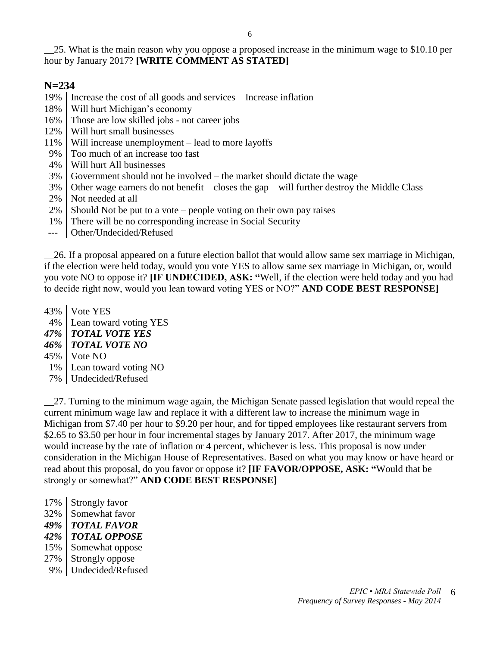6

\_\_25. What is the main reason why you oppose a proposed increase in the minimum wage to \$10.10 per hour by January 2017? **[WRITE COMMENT AS STATED]** 

# **N=234**

19% Increase the cost of all goods and services – Increase inflation

- 18% Will hurt Michigan's economy
- 16% Those are low skilled jobs not career jobs
- 12% Will hurt small businesses
- 11% Will increase unemployment lead to more layoffs
- 9% Too much of an increase too fast
- 4% Will hurt All businesses
- 3% Government should not be involved the market should dictate the wage
- 3% Other wage earners do not benefit closes the gap will further destroy the Middle Class
- 2% Not needed at all
- $2\%$  Should Not be put to a vote people voting on their own pay raises
- 1% There will be no corresponding increase in Social Security
- --- Other/Undecided/Refused

\_\_26. If a proposal appeared on a future election ballot that would allow same sex marriage in Michigan, if the election were held today, would you vote YES to allow same sex marriage in Michigan, or, would you vote NO to oppose it? **[IF UNDECIDED, ASK: "**Well, if the election were held today and you had to decide right now, would you lean toward voting YES or NO?" **AND CODE BEST RESPONSE]**

43% Vote YES

- 4% Lean toward voting YES
- *47% TOTAL VOTE YES*
- *46% TOTAL VOTE NO*
- $45\%$  | Vote NO
- 1% Lean toward voting NO
- 7% Undecided/Refused

\_\_27. Turning to the minimum wage again, the Michigan Senate passed legislation that would repeal the current minimum wage law and replace it with a different law to increase the minimum wage in Michigan from \$7.40 per hour to \$9.20 per hour, and for tipped employees like restaurant servers from \$2.65 to \$3.50 per hour in four incremental stages by January 2017. After 2017, the minimum wage would increase by the rate of inflation or 4 percent, whichever is less. This proposal is now under consideration in the Michigan House of Representatives. Based on what you may know or have heard or read about this proposal, do you favor or oppose it? **[IF FAVOR/OPPOSE, ASK: "**Would that be strongly or somewhat?" **AND CODE BEST RESPONSE]**

- 17% Strongly favor
- 32% Somewhat favor
- *49% TOTAL FAVOR*
- *42% TOTAL OPPOSE*
- 15% Somewhat oppose
- 27% | Strongly oppose
- 9% Undecided/Refused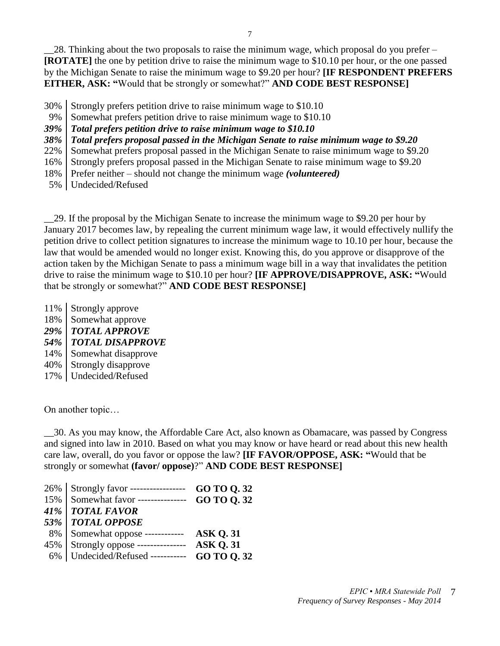\_\_28. Thinking about the two proposals to raise the minimum wage, which proposal do you prefer – **[ROTATE]** the one by petition drive to raise the minimum wage to \$10.10 per hour, or the one passed by the Michigan Senate to raise the minimum wage to \$9.20 per hour? **[IF RESPONDENT PREFERS EITHER, ASK: "**Would that be strongly or somewhat?" **AND CODE BEST RESPONSE]**

- 30% Strongly prefers petition drive to raise minimum wage to \$10.10
- 9% Somewhat prefers petition drive to raise minimum wage to \$10.10
- *39% Total prefers petition drive to raise minimum wage to \$10.10*

*38% Total prefers proposal passed in the Michigan Senate to raise minimum wage to \$9.20*

22% Somewhat prefers proposal passed in the Michigan Senate to raise minimum wage to \$9.20

16% Strongly prefers proposal passed in the Michigan Senate to raise minimum wage to \$9.20

- 18% Prefer neither should not change the minimum wage *(volunteered)*
- 5% Undecided/Refused

\_\_29. If the proposal by the Michigan Senate to increase the minimum wage to \$9.20 per hour by January 2017 becomes law, by repealing the current minimum wage law, it would effectively nullify the petition drive to collect petition signatures to increase the minimum wage to 10.10 per hour, because the law that would be amended would no longer exist. Knowing this, do you approve or disapprove of the action taken by the Michigan Senate to pass a minimum wage bill in a way that invalidates the petition drive to raise the minimum wage to \$10.10 per hour? **[IF APPROVE/DISAPPROVE, ASK: "**Would that be strongly or somewhat?" **AND CODE BEST RESPONSE]**

- 11% Strongly approve
- 18% Somewhat approve
- *29% TOTAL APPROVE*
- *54% TOTAL DISAPPROVE*
- 14% Somewhat disapprove
- 40% Strongly disapprove
- 17% Undecided/Refused

On another topic…

\_\_30. As you may know, the Affordable Care Act, also known as Obamacare, was passed by Congress and signed into law in 2010. Based on what you may know or have heard or read about this new health care law, overall, do you favor or oppose the law? **[IF FAVOR/OPPOSE, ASK: "**Would that be strongly or somewhat **(favor/ oppose)**?" **AND CODE BEST RESPONSE]**

| 26%   Strongly favor ------------------          | GO TO Q.32      |
|--------------------------------------------------|-----------------|
| 15%   Somewhat favor --------------- GO TO Q. 32 |                 |
| 41%   TOTAL FAVOR                                |                 |
| 53%   TOTAL OPPOSE                               |                 |
| 8% Somewhat oppose ------------                  | <b>ASK Q.31</b> |
| 45%   Strongly oppose ---------------            | <b>ASK O.31</b> |
| 6%   Undecided/Refused -----------               | GO TO 0.32      |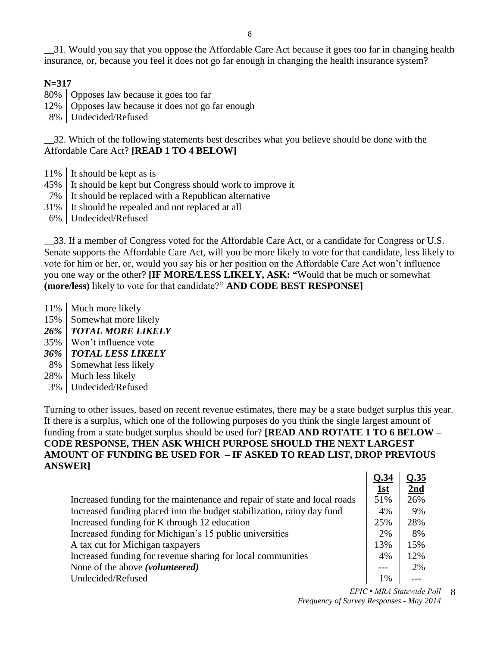\_\_31. Would you say that you oppose the Affordable Care Act because it goes too far in changing health insurance, or, because you feel it does not go far enough in changing the health insurance system?

#### **N=317**

- 80% | Opposes law because it goes too far
- 12% Opposes law because it does not go far enough
- 8% Undecided/Refused

\_\_32. Which of the following statements best describes what you believe should be done with the Affordable Care Act? **[READ 1 TO 4 BELOW]** 

- 11% It should be kept as is
- 45% It should be kept but Congress should work to improve it
- 7% It should be replaced with a Republican alternative
- 31% It should be repealed and not replaced at all
- 6% Undecided/Refused

\_\_33. If a member of Congress voted for the Affordable Care Act, or a candidate for Congress or U.S. Senate supports the Affordable Care Act, will you be more likely to vote for that candidate, less likely to vote for him or her, or, would you say his or her position on the Affordable Care Act won't influence you one way or the other? **[IF MORE/LESS LIKELY, ASK: "**Would that be much or somewhat **(more/less)** likely to vote for that candidate?" **AND CODE BEST RESPONSE]**

- 11% | Much more likely
- 15% Somewhat more likely
- *26% TOTAL MORE LIKELY*
- 35% Won't influence vote
- *36% TOTAL LESS LIKELY*
- 8% Somewhat less likely
- 28% | Much less likely
- 3% Undecided/Refused

Turning to other issues, based on recent revenue estimates, there may be a state budget surplus this year. If there is a surplus, which one of the following purposes do you think the single largest amount of funding from a state budget surplus should be used for? **[READ AND ROTATE 1 TO 6 BELOW – CODE RESPONSE, THEN ASK WHICH PURPOSE SHOULD THE NEXT LARGEST AMOUNT OF FUNDING BE USED FOR – IF ASKED TO READ LIST, DROP PREVIOUS ANSWER] Q.34 Q.35**

|                                                                           | Q.34 | Q.35 |
|---------------------------------------------------------------------------|------|------|
|                                                                           | 1st  | 2nd  |
| Increased funding for the maintenance and repair of state and local roads | 51%  | 26%  |
| Increased funding placed into the budget stabilization, rainy day fund    | 4%   | 9%   |
| Increased funding for K through 12 education                              | 25%  | 28%  |
| Increased funding for Michigan's 15 public universities                   | 2%   | 8%   |
| A tax cut for Michigan taxpayers                                          | 13%  | 15%  |
| Increased funding for revenue sharing for local communities               | 4%   | 12%  |
| None of the above ( <i>volunteered</i> )                                  |      | 2%   |
| Undecided/Refused                                                         | 1%   |      |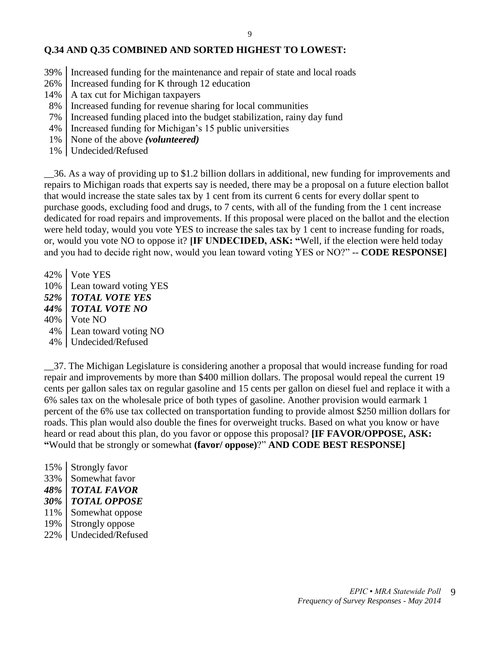### **Q.34 AND Q.35 COMBINED AND SORTED HIGHEST TO LOWEST:**

- 39% Increased funding for the maintenance and repair of state and local roads
- 26% Increased funding for K through 12 education
- $14\%$  | A tax cut for Michigan taxpayers
- 8% Increased funding for revenue sharing for local communities
- 7% Increased funding placed into the budget stabilization, rainy day fund
- 4% Increased funding for Michigan's 15 public universities
- 1% None of the above *(volunteered)*
- 1% Undecided/Refused

\_\_36. As a way of providing up to \$1.2 billion dollars in additional, new funding for improvements and repairs to Michigan roads that experts say is needed, there may be a proposal on a future election ballot that would increase the state sales tax by 1 cent from its current 6 cents for every dollar spent to purchase goods, excluding food and drugs, to 7 cents, with all of the funding from the 1 cent increase dedicated for road repairs and improvements. If this proposal were placed on the ballot and the election were held today, would you vote YES to increase the sales tax by 1 cent to increase funding for roads, or, would you vote NO to oppose it? **[IF UNDECIDED, ASK: "**Well, if the election were held today and you had to decide right now, would you lean toward voting YES or NO?" -- **CODE RESPONSE]**

42% Vote YES 10% Lean toward voting YES *52% TOTAL VOTE YES 44% TOTAL VOTE NO* 40% Vote NO 4% Lean toward voting NO 4% Undecided/Refused

\_\_37. The Michigan Legislature is considering another a proposal that would increase funding for road repair and improvements by more than \$400 million dollars. The proposal would repeal the current 19 cents per gallon sales tax on regular gasoline and 15 cents per gallon on diesel fuel and replace it with a 6% sales tax on the wholesale price of both types of gasoline. Another provision would earmark 1 percent of the 6% use tax collected on transportation funding to provide almost \$250 million dollars for roads. This plan would also double the fines for overweight trucks. Based on what you know or have heard or read about this plan, do you favor or oppose this proposal? **[IF FAVOR/OPPOSE, ASK: "**Would that be strongly or somewhat **(favor/ oppose)**?" **AND CODE BEST RESPONSE]**

15% Strongly favor 33% Somewhat favor *48% TOTAL FAVOR 30% TOTAL OPPOSE* 11% Somewhat oppose 19% | Strongly oppose 22% Undecided/Refused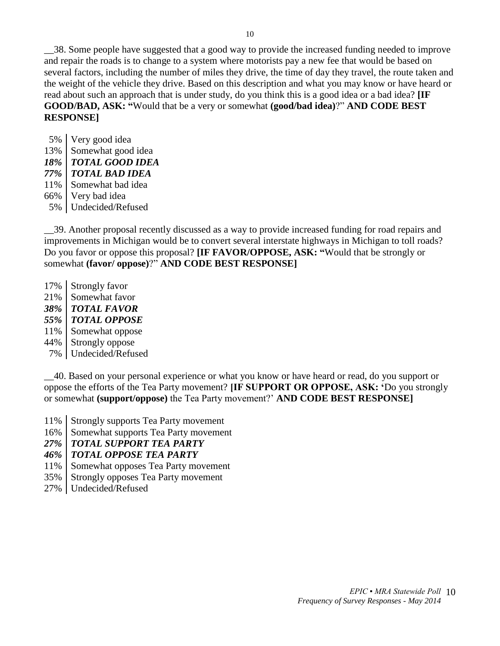\_\_38. Some people have suggested that a good way to provide the increased funding needed to improve and repair the roads is to change to a system where motorists pay a new fee that would be based on several factors, including the number of miles they drive, the time of day they travel, the route taken and the weight of the vehicle they drive. Based on this description and what you may know or have heard or read about such an approach that is under study, do you think this is a good idea or a bad idea? **[IF GOOD/BAD, ASK: "**Would that be a very or somewhat **(good/bad idea)**?" **AND CODE BEST RESPONSE]**

 5% Very good idea 13% Somewhat good idea *18% TOTAL GOOD IDEA 77% TOTAL BAD IDEA* 11% Somewhat bad idea 66% Very bad idea 5% Undecided/Refused

\_\_39. Another proposal recently discussed as a way to provide increased funding for road repairs and improvements in Michigan would be to convert several interstate highways in Michigan to toll roads? Do you favor or oppose this proposal? **[IF FAVOR/OPPOSE, ASK: "**Would that be strongly or somewhat **(favor/ oppose)**?" **AND CODE BEST RESPONSE]**

- 17% Strongly favor
- 21% Somewhat favor
- *38% TOTAL FAVOR*
- *55% TOTAL OPPOSE*
- 11% Somewhat oppose
- 44% Strongly oppose
- 7% Undecided/Refused

\_\_40. Based on your personal experience or what you know or have heard or read, do you support or oppose the efforts of the Tea Party movement? **[IF SUPPORT OR OPPOSE, ASK: '**Do you strongly or somewhat **(support/oppose)** the Tea Party movement?' **AND CODE BEST RESPONSE]** 

- 11% Strongly supports Tea Party movement
- 16% Somewhat supports Tea Party movement
- *27% TOTAL SUPPORT TEA PARTY*
- *46% TOTAL OPPOSE TEA PARTY*
- 11% Somewhat opposes Tea Party movement
- 35% Strongly opposes Tea Party movement
- 27% Undecided/Refused